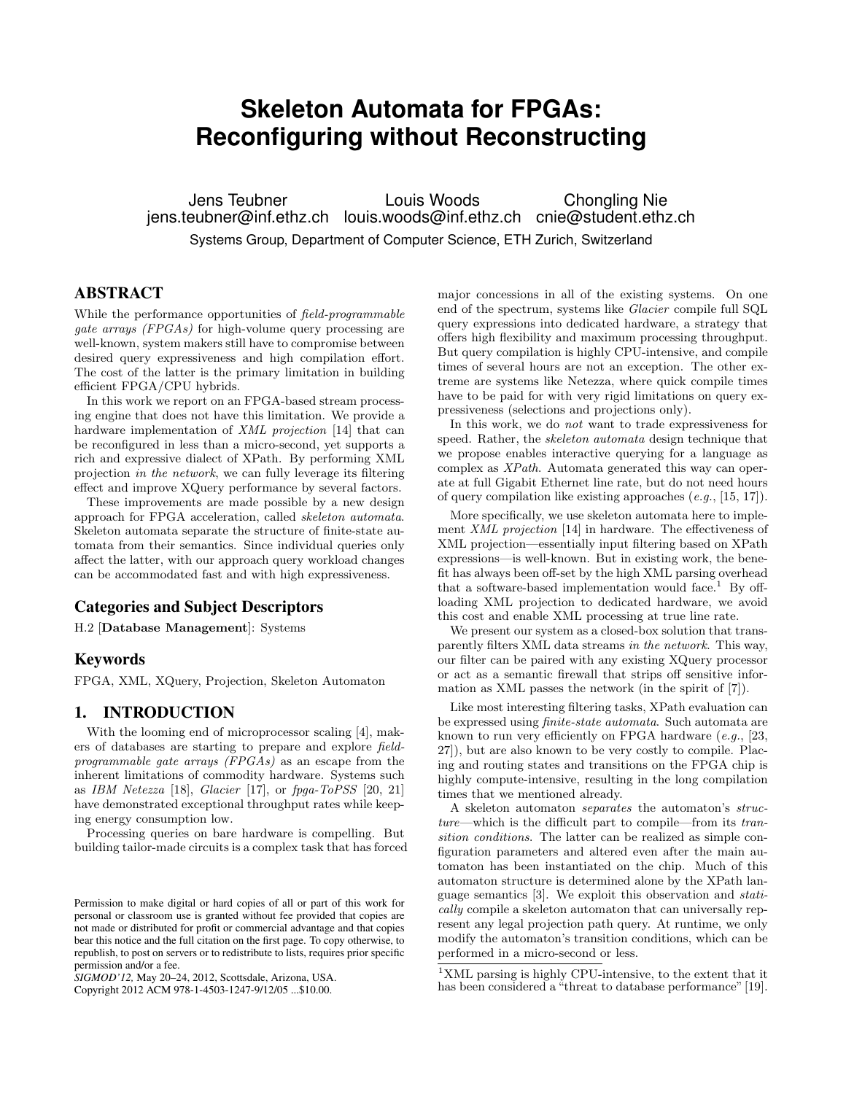# **Skeleton Automata for FPGAs: Reconfiguring without Reconstructing**

Jens Teubner Louis Woods Chongling Nie jens.teubner@inf.ethz.ch louis.woods@inf.ethz.ch cnie@student.ethz.ch Systems Group, Department of Computer Science, ETH Zurich, Switzerland

# ABSTRACT

While the performance opportunities of field-programmable gate arrays (FPGAs) for high-volume query processing are well-known, system makers still have to compromise between desired query expressiveness and high compilation effort. The cost of the latter is the primary limitation in building efficient FPGA/CPU hybrids.

In this work we report on an FPGA-based stream processing engine that does not have this limitation. We provide a hardware implementation of *XML projection* [14] that can be reconfigured in less than a micro-second, yet supports a rich and expressive dialect of XPath. By performing XML projection in the network, we can fully leverage its filtering effect and improve XQuery performance by several factors.

These improvements are made possible by a new design approach for FPGA acceleration, called skeleton automata. Skeleton automata separate the structure of finite-state automata from their semantics. Since individual queries only affect the latter, with our approach query workload changes can be accommodated fast and with high expressiveness.

# Categories and Subject Descriptors

H.2 [Database Management]: Systems

# Keywords

FPGA, XML, XQuery, Projection, Skeleton Automaton

# 1. INTRODUCTION

With the looming end of microprocessor scaling [4], makers of databases are starting to prepare and explore fieldprogrammable gate arrays (FPGAs) as an escape from the inherent limitations of commodity hardware. Systems such as IBM Netezza  $[18]$ , Glacier  $[17]$ , or fpga-ToPSS  $[20, 21]$ have demonstrated exceptional throughput rates while keeping energy consumption low.

Processing queries on bare hardware is compelling. But building tailor-made circuits is a complex task that has forced major concessions in all of the existing systems. On one end of the spectrum, systems like Glacier compile full SQL query expressions into dedicated hardware, a strategy that offers high flexibility and maximum processing throughput. But query compilation is highly CPU-intensive, and compile times of several hours are not an exception. The other extreme are systems like Netezza, where quick compile times have to be paid for with very rigid limitations on query expressiveness (selections and projections only).

In this work, we do not want to trade expressiveness for speed. Rather, the skeleton automata design technique that we propose enables interactive querying for a language as complex as XPath. Automata generated this way can operate at full Gigabit Ethernet line rate, but do not need hours of query compilation like existing approaches  $(e.g., [15, 17])$ .

More specifically, we use skeleton automata here to implement XML projection [14] in hardware. The effectiveness of XML projection—essentially input filtering based on XPath expressions—is well-known. But in existing work, the benefit has always been off-set by the high XML parsing overhead that a software-based implementation would face.<sup>1</sup> By offloading XML projection to dedicated hardware, we avoid this cost and enable XML processing at true line rate.

We present our system as a closed-box solution that transparently filters XML data streams in the network. This way, our filter can be paired with any existing XQuery processor or act as a semantic firewall that strips off sensitive information as XML passes the network (in the spirit of [7]).

Like most interesting filtering tasks, XPath evaluation can be expressed using finite-state automata. Such automata are known to run very efficiently on FPGA hardware (e.g., [23, 27]), but are also known to be very costly to compile. Placing and routing states and transitions on the FPGA chip is highly compute-intensive, resulting in the long compilation times that we mentioned already.

A skeleton automaton separates the automaton's structure—which is the difficult part to compile—from its transition conditions. The latter can be realized as simple configuration parameters and altered even after the main automaton has been instantiated on the chip. Much of this automaton structure is determined alone by the XPath language semantics [3]. We exploit this observation and statically compile a skeleton automaton that can universally represent any legal projection path query. At runtime, we only modify the automaton's transition conditions, which can be performed in a micro-second or less.

Permission to make digital or hard copies of all or part of this work for personal or classroom use is granted without fee provided that copies are not made or distributed for profit or commercial advantage and that copies bear this notice and the full citation on the first page. To copy otherwise, to republish, to post on servers or to redistribute to lists, requires prior specific permission and/or a fee.

*SIGMOD'12,* May 20–24, 2012, Scottsdale, Arizona, USA.

Copyright 2012 ACM 978-1-4503-1247-9/12/05 ...\$10.00.

<sup>1</sup>XML parsing is highly CPU-intensive, to the extent that it has been considered a "threat to database performance" [19].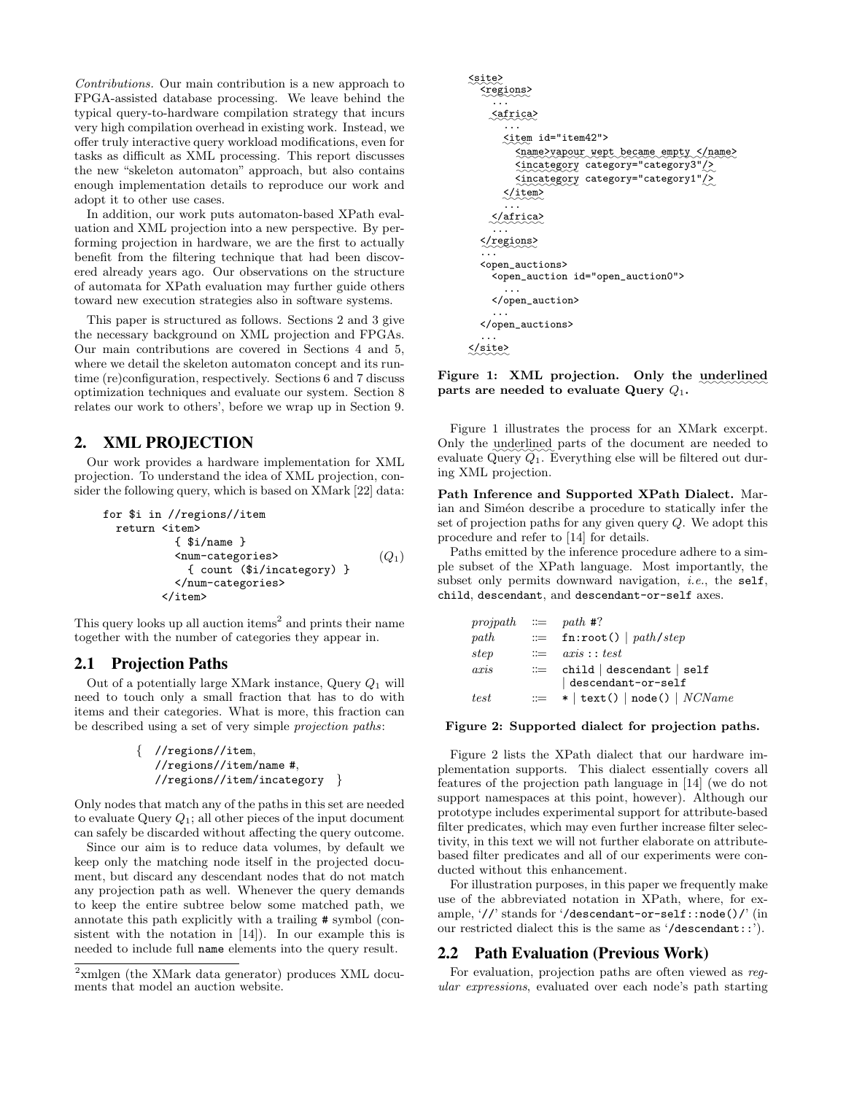Contributions. Our main contribution is a new approach to FPGA-assisted database processing. We leave behind the typical query-to-hardware compilation strategy that incurs very high compilation overhead in existing work. Instead, we offer truly interactive query workload modifications, even for tasks as difficult as XML processing. This report discusses the new "skeleton automaton" approach, but also contains enough implementation details to reproduce our work and adopt it to other use cases.

In addition, our work puts automaton-based XPath evaluation and XML projection into a new perspective. By performing projection in hardware, we are the first to actually benefit from the filtering technique that had been discovered already years ago. Our observations on the structure of automata for XPath evaluation may further guide others toward new execution strategies also in software systems.

This paper is structured as follows. Sections 2 and 3 give the necessary background on XML projection and FPGAs. Our main contributions are covered in Sections 4 and 5, where we detail the skeleton automaton concept and its runtime (re)configuration, respectively. Sections 6 and 7 discuss optimization techniques and evaluate our system. Section 8 relates our work to others', before we wrap up in Section 9.

# 2. XML PROJECTION

Our work provides a hardware implementation for XML projection. To understand the idea of XML projection, consider the following query, which is based on XMark [22] data:

for \$i in //regions//item return <item> { \$i/name } <num-categories> { count (\$i/incategory) } </num-categories> </item> (Q1)

This query looks up all auction items<sup>2</sup> and prints their name together with the number of categories they appear in.

# 2.1 Projection Paths

Out of a potentially large XMark instance, Query  $Q_1$  will need to touch only a small fraction that has to do with items and their categories. What is more, this fraction can be described using a set of very simple projection paths:

```
{ //regions//item,
  //regions//item/name #,
  //regions//item/incategory }
```
Only nodes that match any of the paths in this set are needed to evaluate Query  $Q_1$ ; all other pieces of the input document can safely be discarded without affecting the query outcome.

Since our aim is to reduce data volumes, by default we keep only the matching node itself in the projected document, but discard any descendant nodes that do not match any projection path as well. Whenever the query demands to keep the entire subtree below some matched path, we annotate this path explicitly with a trailing # symbol (consistent with the notation in [14]). In our example this is needed to include full name elements into the query result.

```
✿✿✿✿✿
<site>
  ✿✿✿✿✿✿✿
<regions>
     ...
    ✿✿✿✿✿✿✿
<africa>
       ...
       \leqitem id="item42">
          <name>vapour wept became empty </name>
          <incategory category="category3"/>
          <incategory category="category1"/>
       ✿✿✿✿✿✿
</item>
       ...
    ✿✿✿✿✿✿✿✿
</africa>
     ...
  ✿✿✿✿✿✿✿✿
</regions>
  ...
  <open_auctions>
     <open_auction id="open_auction0">
       ...
     </open_auction>
     ...
  </open_auctions>
  ...
✿✿✿✿✿✿
</site>
```
Figure 1: XML projection. Only the underlined parts are needed to evaluate Query  $Q_1$ .

Figure 1 illustrates the process for an XMark excerpt. Only the underlined parts of the document are needed to evaluate Query  $Q_1$ . Everything else will be filtered out during XML projection.

Path Inference and Supported XPath Dialect. Marian and Siméon describe a procedure to statically infer the set of projection paths for any given query  $Q$ . We adopt this procedure and refer to [14] for details.

Paths emitted by the inference procedure adhere to a simple subset of the XPath language. Most importantly, the subset only permits downward navigation, *i.e.*, the self, child, descendant, and descendant-or-self axes.

| projpath $\equiv$ path #? |                       |                                                    |
|---------------------------|-----------------------|----------------------------------------------------|
| path                      |                       | $\equiv$ fn:root()   path/step                     |
| step                      |                       | $\dddot{=}$ axis : test                            |
| axis                      | $\mathrel{\mathop:}=$ | $child  $ descendant $ self$<br>descendant-or-self |
| test                      |                       | $ ::=$ *   text()   node()   NCName                |

#### Figure 2: Supported dialect for projection paths.

Figure 2 lists the XPath dialect that our hardware implementation supports. This dialect essentially covers all features of the projection path language in [14] (we do not support namespaces at this point, however). Although our prototype includes experimental support for attribute-based filter predicates, which may even further increase filter selectivity, in this text we will not further elaborate on attributebased filter predicates and all of our experiments were conducted without this enhancement.

For illustration purposes, in this paper we frequently make use of the abbreviated notation in XPath, where, for example, '//' stands for '/descendant-or-self::node()/' (in our restricted dialect this is the same as '/descendant::').

#### 2.2 Path Evaluation (Previous Work)

For evaluation, projection paths are often viewed as regular expressions, evaluated over each node's path starting

<sup>&</sup>lt;sup>2</sup>xmlgen (the XMark data generator) produces XML documents that model an auction website.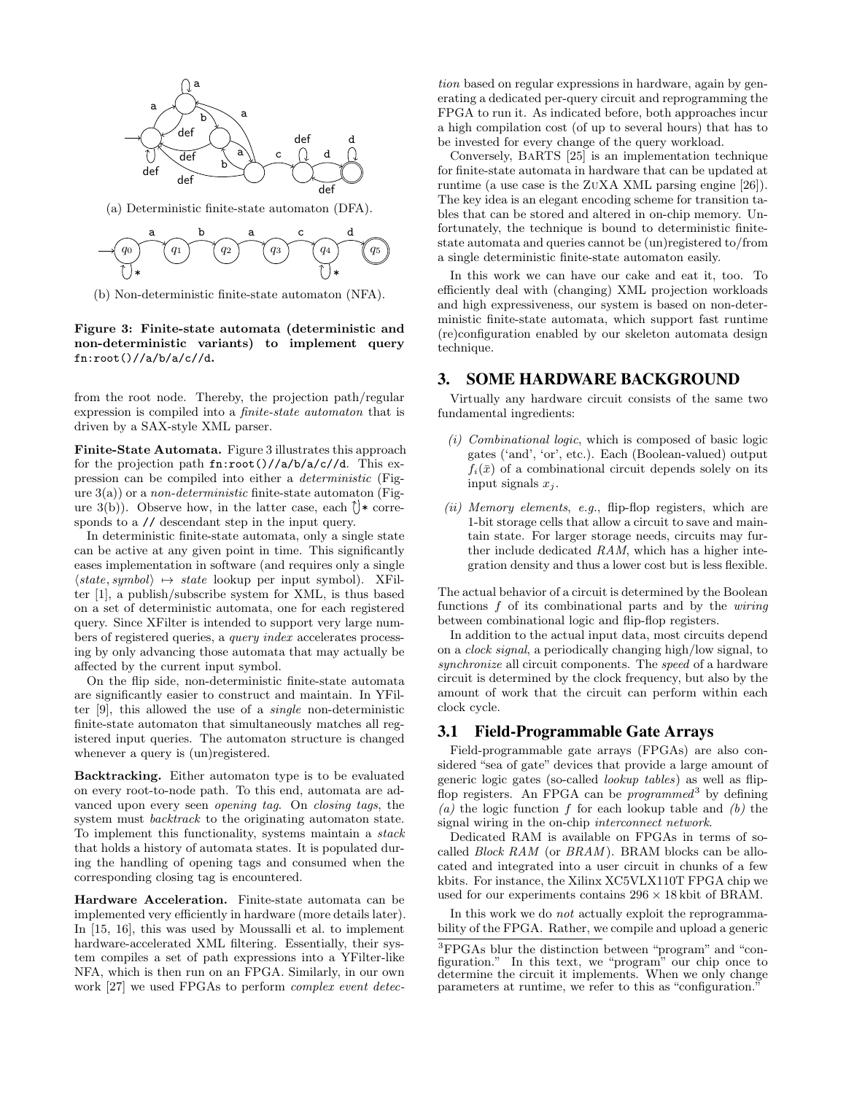

(a) Deterministic finite-state automaton (DFA).



(b) Non-deterministic finite-state automaton (NFA).

Figure 3: Finite-state automata (deterministic and non-deterministic variants) to implement query fn:root()//a/b/a/c//d.

from the root node. Thereby, the projection path/regular expression is compiled into a finite-state automaton that is driven by a SAX-style XML parser.

Finite-State Automata. Figure 3 illustrates this approach for the projection path fn:root()//a/b/a/c//d. This expression can be compiled into either a deterministic (Figure  $3(a)$ ) or a *non-deterministic* finite-state automaton (Figure 3(b)). Observe how, in the latter case, each  $\uparrow$   $\ast$  corresponds to a // descendant step in the input query.

In deterministic finite-state automata, only a single state can be active at any given point in time. This significantly eases implementation in software (and requires only a single  $\langle state, symbol \rangle \rightarrow state$  lookup per input symbol). XFilter [1], a publish/subscribe system for XML, is thus based on a set of deterministic automata, one for each registered query. Since XFilter is intended to support very large numbers of registered queries, a query index accelerates processing by only advancing those automata that may actually be affected by the current input symbol.

On the flip side, non-deterministic finite-state automata are significantly easier to construct and maintain. In YFilter [9], this allowed the use of a single non-deterministic finite-state automaton that simultaneously matches all registered input queries. The automaton structure is changed whenever a query is  $(un)$ registered.

Backtracking. Either automaton type is to be evaluated on every root-to-node path. To this end, automata are advanced upon every seen opening tag. On closing tags, the system must backtrack to the originating automaton state. To implement this functionality, systems maintain a stack that holds a history of automata states. It is populated during the handling of opening tags and consumed when the corresponding closing tag is encountered.

Hardware Acceleration. Finite-state automata can be implemented very efficiently in hardware (more details later). In [15, 16], this was used by Moussalli et al. to implement hardware-accelerated XML filtering. Essentially, their system compiles a set of path expressions into a YFilter-like NFA, which is then run on an FPGA. Similarly, in our own work [27] we used FPGAs to perform complex event detec-

tion based on regular expressions in hardware, again by generating a dedicated per-query circuit and reprogramming the FPGA to run it. As indicated before, both approaches incur a high compilation cost (of up to several hours) that has to be invested for every change of the query workload.

Conversely, BaRTS [25] is an implementation technique for finite-state automata in hardware that can be updated at runtime (a use case is the ZuXA XML parsing engine [26]). The key idea is an elegant encoding scheme for transition tables that can be stored and altered in on-chip memory. Unfortunately, the technique is bound to deterministic finitestate automata and queries cannot be (un)registered to/from a single deterministic finite-state automaton easily.

In this work we can have our cake and eat it, too. To efficiently deal with (changing) XML projection workloads and high expressiveness, our system is based on non-deterministic finite-state automata, which support fast runtime (re)configuration enabled by our skeleton automata design technique.

# 3. SOME HARDWARE BACKGROUND

Virtually any hardware circuit consists of the same two fundamental ingredients:

- (i) Combinational logic, which is composed of basic logic gates ('and', 'or', etc.). Each (Boolean-valued) output  $f_i(\bar{x})$  of a combinational circuit depends solely on its input signals  $x_i$ .
- (ii) Memory elements, e.g., flip-flop registers, which are 1-bit storage cells that allow a circuit to save and maintain state. For larger storage needs, circuits may further include dedicated  $RAM$ , which has a higher integration density and thus a lower cost but is less flexible.

The actual behavior of a circuit is determined by the Boolean functions f of its combinational parts and by the wiring between combinational logic and flip-flop registers.

In addition to the actual input data, most circuits depend on a clock signal, a periodically changing high/low signal, to synchronize all circuit components. The speed of a hardware circuit is determined by the clock frequency, but also by the amount of work that the circuit can perform within each clock cycle.

#### 3.1 Field-Programmable Gate Arrays

Field-programmable gate arrays (FPGAs) are also considered "sea of gate" devices that provide a large amount of generic logic gates (so-called lookup tables) as well as flipflop registers. An FPGA can be *programmed*<sup>3</sup> by defining (a) the logic function f for each lookup table and (b) the signal wiring in the on-chip interconnect network.

Dedicated RAM is available on FPGAs in terms of socalled Block RAM (or BRAM ). BRAM blocks can be allocated and integrated into a user circuit in chunks of a few kbits. For instance, the Xilinx XC5VLX110T FPGA chip we used for our experiments contains  $296 \times 18$  kbit of BRAM.

In this work we do *not* actually exploit the reprogrammability of the FPGA. Rather, we compile and upload a generic

<sup>3</sup>FPGAs blur the distinction between "program" and "configuration." In this text, we "program" our chip once to determine the circuit it implements. When we only change parameters at runtime, we refer to this as "configuration."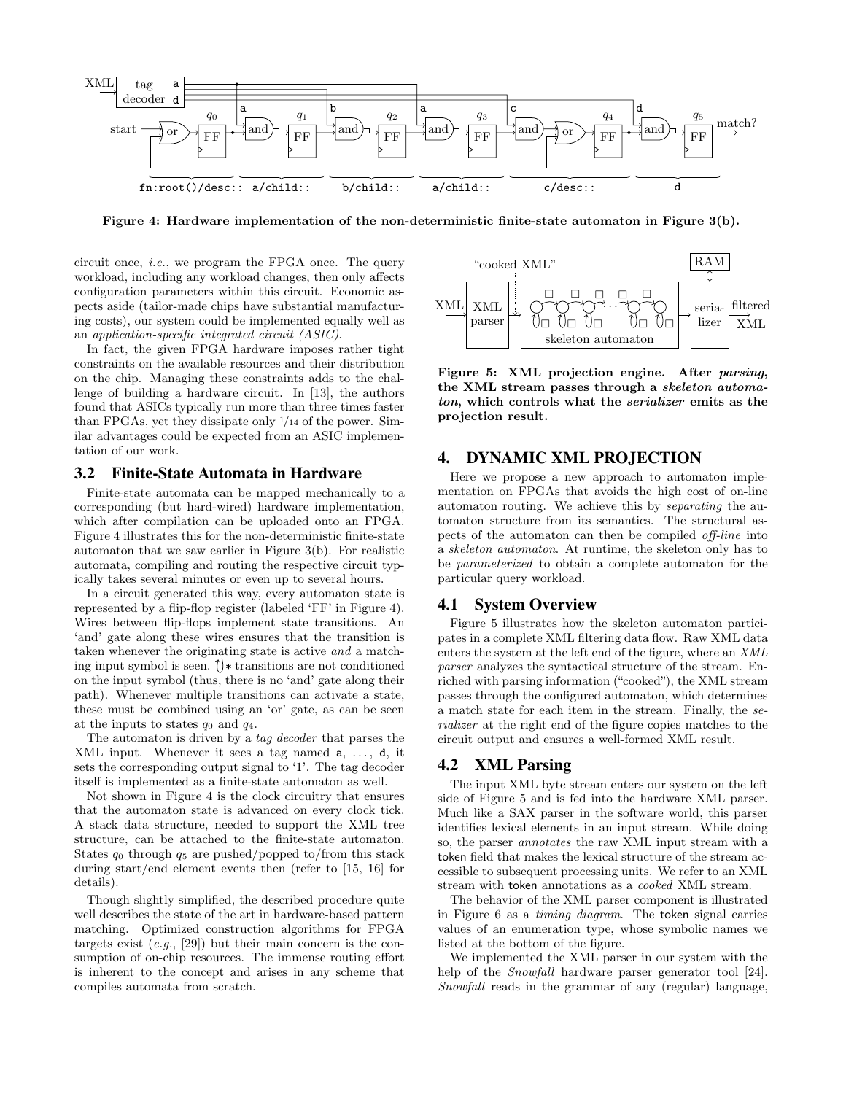

Figure 4: Hardware implementation of the non-deterministic finite-state automaton in Figure 3(b).

circuit once, i.e., we program the FPGA once. The query workload, including any workload changes, then only affects configuration parameters within this circuit. Economic aspects aside (tailor-made chips have substantial manufacturing costs), our system could be implemented equally well as an application-specific integrated circuit (ASIC).

In fact, the given FPGA hardware imposes rather tight constraints on the available resources and their distribution on the chip. Managing these constraints adds to the challenge of building a hardware circuit. In [13], the authors found that ASICs typically run more than three times faster than FPGAs, yet they dissipate only  $1/14$  of the power. Similar advantages could be expected from an ASIC implementation of our work.

## 3.2 Finite-State Automata in Hardware

Finite-state automata can be mapped mechanically to a corresponding (but hard-wired) hardware implementation, which after compilation can be uploaded onto an FPGA. Figure 4 illustrates this for the non-deterministic finite-state automaton that we saw earlier in Figure 3(b). For realistic automata, compiling and routing the respective circuit typically takes several minutes or even up to several hours.

In a circuit generated this way, every automaton state is represented by a flip-flop register (labeled 'FF' in Figure 4). Wires between flip-flops implement state transitions. An 'and' gate along these wires ensures that the transition is taken whenever the originating state is active and a matching input symbol is seen.  $\hat{I}$  transitions are not conditioned on the input symbol (thus, there is no 'and' gate along their path). Whenever multiple transitions can activate a state, these must be combined using an 'or' gate, as can be seen at the inputs to states  $q_0$  and  $q_4$ .

The automaton is driven by a tag decoder that parses the XML input. Whenever it sees a tag named  $a, \ldots, d$ , it sets the corresponding output signal to '1'. The tag decoder itself is implemented as a finite-state automaton as well.

Not shown in Figure 4 is the clock circuitry that ensures that the automaton state is advanced on every clock tick. A stack data structure, needed to support the XML tree structure, can be attached to the finite-state automaton. States  $q_0$  through  $q_5$  are pushed/popped to/from this stack during start/end element events then (refer to [15, 16] for details).

Though slightly simplified, the described procedure quite well describes the state of the art in hardware-based pattern matching. Optimized construction algorithms for FPGA targets exist  $(e.g., [29])$  but their main concern is the consumption of on-chip resources. The immense routing effort is inherent to the concept and arises in any scheme that compiles automata from scratch.



Figure 5: XML projection engine. After parsing, the XML stream passes through a skeleton automaton, which controls what the serializer emits as the projection result.

# 4. DYNAMIC XML PROJECTION

Here we propose a new approach to automaton implementation on FPGAs that avoids the high cost of on-line automaton routing. We achieve this by separating the automaton structure from its semantics. The structural aspects of the automaton can then be compiled off-line into a skeleton automaton. At runtime, the skeleton only has to be parameterized to obtain a complete automaton for the particular query workload.

#### 4.1 System Overview

Figure 5 illustrates how the skeleton automaton participates in a complete XML filtering data flow. Raw XML data enters the system at the left end of the figure, where an XML parser analyzes the syntactical structure of the stream. Enriched with parsing information ("cooked"), the XML stream passes through the configured automaton, which determines a match state for each item in the stream. Finally, the serializer at the right end of the figure copies matches to the circuit output and ensures a well-formed XML result.

# 4.2 XML Parsing

The input XML byte stream enters our system on the left side of Figure 5 and is fed into the hardware XML parser. Much like a SAX parser in the software world, this parser identifies lexical elements in an input stream. While doing so, the parser annotates the raw XML input stream with a token field that makes the lexical structure of the stream accessible to subsequent processing units. We refer to an XML stream with token annotations as a cooked XML stream.

The behavior of the XML parser component is illustrated in Figure 6 as a timing diagram. The token signal carries values of an enumeration type, whose symbolic names we listed at the bottom of the figure.

We implemented the XML parser in our system with the help of the *Snowfall* hardware parser generator tool [24]. Snowfall reads in the grammar of any (regular) language,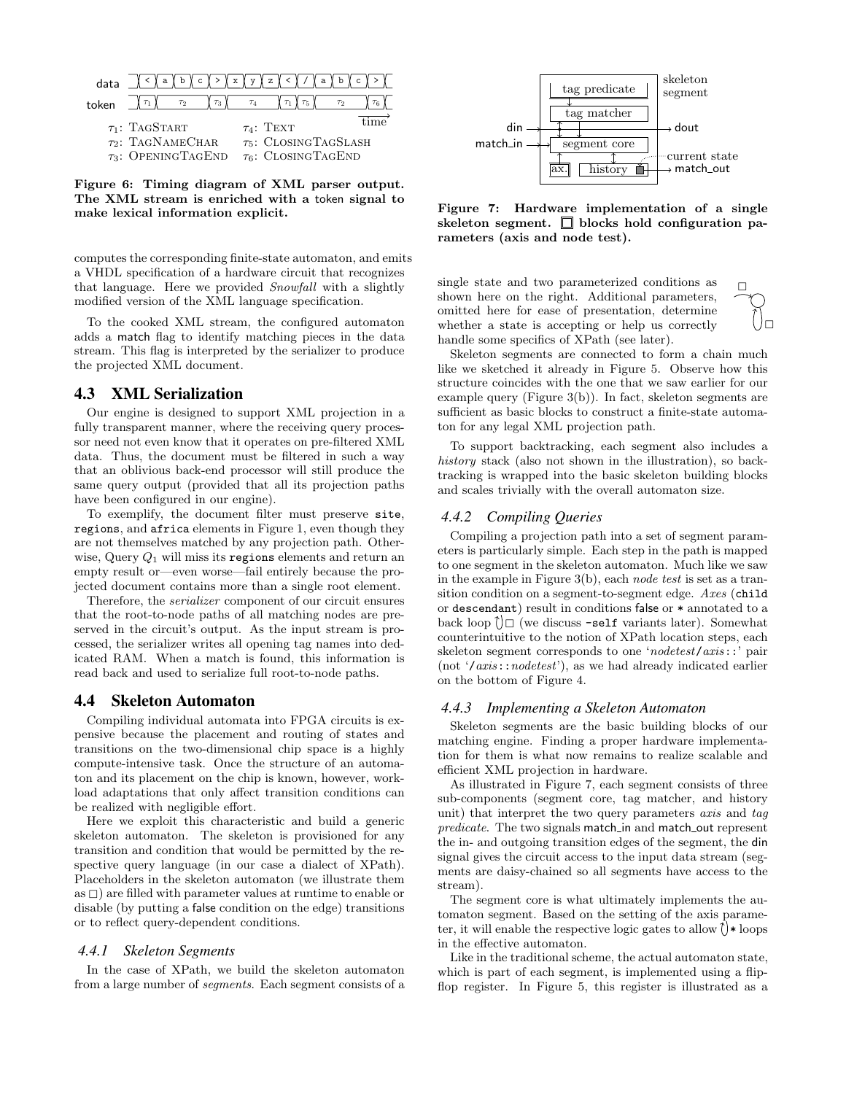![](_page_4_Figure_0.jpeg)

Figure 6: Timing diagram of XML parser output. The XML stream is enriched with a token signal to make lexical information explicit.

computes the corresponding finite-state automaton, and emits a VHDL specification of a hardware circuit that recognizes that language. Here we provided Snowfall with a slightly modified version of the XML language specification.

To the cooked XML stream, the configured automaton adds a match flag to identify matching pieces in the data stream. This flag is interpreted by the serializer to produce the projected XML document.

# 4.3 XML Serialization

Our engine is designed to support XML projection in a fully transparent manner, where the receiving query processor need not even know that it operates on pre-filtered XML data. Thus, the document must be filtered in such a way that an oblivious back-end processor will still produce the same query output (provided that all its projection paths have been configured in our engine).

To exemplify, the document filter must preserve site, regions, and africa elements in Figure 1, even though they are not themselves matched by any projection path. Otherwise, Query  $Q_1$  will miss its regions elements and return an empty result or—even worse—fail entirely because the projected document contains more than a single root element.

Therefore, the serializer component of our circuit ensures that the root-to-node paths of all matching nodes are preserved in the circuit's output. As the input stream is processed, the serializer writes all opening tag names into dedicated RAM. When a match is found, this information is read back and used to serialize full root-to-node paths.

# 4.4 Skeleton Automaton

Compiling individual automata into FPGA circuits is expensive because the placement and routing of states and transitions on the two-dimensional chip space is a highly compute-intensive task. Once the structure of an automaton and its placement on the chip is known, however, workload adaptations that only affect transition conditions can be realized with negligible effort.

Here we exploit this characteristic and build a generic skeleton automaton. The skeleton is provisioned for any transition and condition that would be permitted by the respective query language (in our case a dialect of XPath). Placeholders in the skeleton automaton (we illustrate them as  $\Box$ ) are filled with parameter values at runtime to enable or disable (by putting a false condition on the edge) transitions or to reflect query-dependent conditions.

#### *4.4.1 Skeleton Segments*

In the case of XPath, we build the skeleton automaton from a large number of *seqments*. Each segment consists of a

![](_page_4_Figure_13.jpeg)

Figure 7: Hardware implementation of a single skeleton segment.  $\Box$  blocks hold configuration parameters (axis and node test).

single state and two parameterized conditions as shown here on the right. Additional parameters, omitted here for ease of presentation, determine whether a state is accepting or help us correctly handle some specifics of XPath (see later).

![](_page_4_Picture_16.jpeg)

Skeleton segments are connected to form a chain much like we sketched it already in Figure 5. Observe how this structure coincides with the one that we saw earlier for our example query (Figure 3(b)). In fact, skeleton segments are sufficient as basic blocks to construct a finite-state automaton for any legal XML projection path.

To support backtracking, each segment also includes a history stack (also not shown in the illustration), so backtracking is wrapped into the basic skeleton building blocks and scales trivially with the overall automaton size.

## *4.4.2 Compiling Queries*

Compiling a projection path into a set of segment parameters is particularly simple. Each step in the path is mapped to one segment in the skeleton automaton. Much like we saw in the example in Figure 3(b), each node test is set as a transition condition on a segment-to-segment edge. Axes (child or descendant) result in conditions false or \* annotated to a back loop  $\hat{I}$  (we discuss -self variants later). Somewhat counterintuitive to the notion of XPath location steps, each skeleton segment corresponds to one 'nodetest/axis::' pair (not  $\forall axis::nodes't$ ), as we had already indicated earlier on the bottom of Figure 4.

## *4.4.3 Implementing a Skeleton Automaton*

Skeleton segments are the basic building blocks of our matching engine. Finding a proper hardware implementation for them is what now remains to realize scalable and efficient XML projection in hardware.

As illustrated in Figure 7, each segment consists of three sub-components (segment core, tag matcher, and history unit) that interpret the two query parameters axis and tag predicate. The two signals match in and match out represent the in- and outgoing transition edges of the segment, the din signal gives the circuit access to the input data stream (segments are daisy-chained so all segments have access to the stream).

The segment core is what ultimately implements the automaton segment. Based on the setting of the axis parameter, it will enable the respective logic gates to allow  $\hat{I}$  hoops in the effective automaton.

Like in the traditional scheme, the actual automaton state, which is part of each segment, is implemented using a flipflop register. In Figure 5, this register is illustrated as a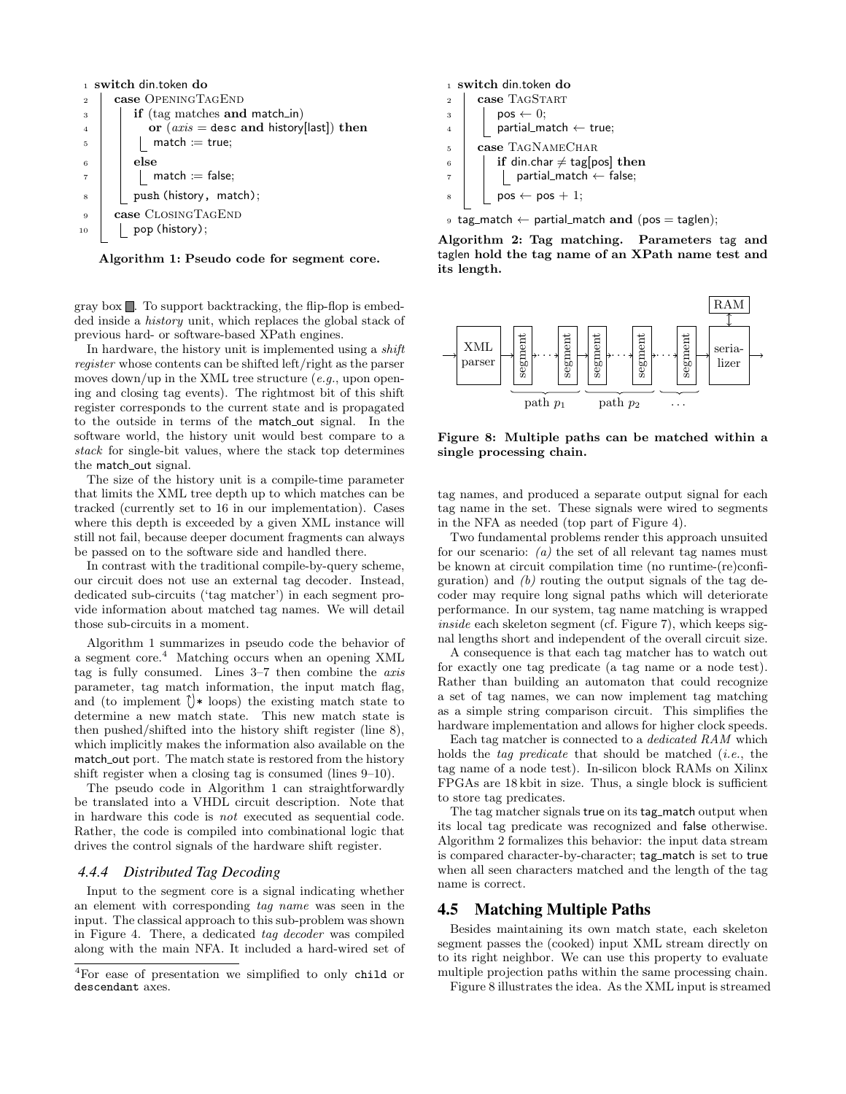![](_page_5_Figure_0.jpeg)

Algorithm 1: Pseudo code for segment core.

gray box  $\blacksquare$ . To support backtracking, the flip-flop is embedded inside a history unit, which replaces the global stack of previous hard- or software-based XPath engines.

In hardware, the history unit is implemented using a shift register whose contents can be shifted left/right as the parser moves down/up in the XML tree structure  $(e.g.,)$  upon opening and closing tag events). The rightmost bit of this shift register corresponds to the current state and is propagated to the outside in terms of the match out signal. In the software world, the history unit would best compare to a stack for single-bit values, where the stack top determines the match\_out signal.

The size of the history unit is a compile-time parameter that limits the XML tree depth up to which matches can be tracked (currently set to 16 in our implementation). Cases where this depth is exceeded by a given XML instance will still not fail, because deeper document fragments can always be passed on to the software side and handled there.

In contrast with the traditional compile-by-query scheme, our circuit does not use an external tag decoder. Instead, dedicated sub-circuits ('tag matcher') in each segment provide information about matched tag names. We will detail those sub-circuits in a moment.

Algorithm 1 summarizes in pseudo code the behavior of a segment core.<sup>4</sup> Matching occurs when an opening XML tag is fully consumed. Lines 3–7 then combine the axis parameter, tag match information, the input match flag, and (to implement  $\hat{I}$  k loops) the existing match state to determine a new match state. This new match state is then pushed/shifted into the history shift register (line 8), which implicitly makes the information also available on the match\_out port. The match state is restored from the history shift register when a closing tag is consumed (lines 9–10).

The pseudo code in Algorithm 1 can straightforwardly be translated into a VHDL circuit description. Note that in hardware this code is not executed as sequential code. Rather, the code is compiled into combinational logic that drives the control signals of the hardware shift register.

#### *4.4.4 Distributed Tag Decoding*

Input to the segment core is a signal indicating whether an element with corresponding tag name was seen in the input. The classical approach to this sub-problem was shown in Figure 4. There, a dedicated tag decoder was compiled along with the main NFA. It included a hard-wired set of <sup>1</sup> switch din.token do

| $\overline{2}$ | case TAGSTART                     |
|----------------|-----------------------------------|
| 3              | $pos \leftarrow 0;$               |
| $\overline{4}$ | $partial_match \leftarrow true;$  |
| 5              | case TAGNAMECHAR                  |
| 6              | if din.char $\neq$ tag[pos] then  |
| 7              | $partial_match \leftarrow false;$ |
| 8              | $pos \leftarrow pos + 1;$         |

9 tag\_match  $\leftarrow$  partial\_match and (pos = taglen);

Algorithm 2: Tag matching. Parameters tag and taglen hold the tag name of an XPath name test and its length.

![](_page_5_Figure_15.jpeg)

Figure 8: Multiple paths can be matched within a single processing chain.

tag names, and produced a separate output signal for each tag name in the set. These signals were wired to segments in the NFA as needed (top part of Figure 4).

Two fundamental problems render this approach unsuited for our scenario:  $(a)$  the set of all relevant tag names must be known at circuit compilation time (no runtime-(re)configuration) and  $(b)$  routing the output signals of the tag decoder may require long signal paths which will deteriorate performance. In our system, tag name matching is wrapped inside each skeleton segment (cf. Figure 7), which keeps signal lengths short and independent of the overall circuit size.

A consequence is that each tag matcher has to watch out for exactly one tag predicate (a tag name or a node test). Rather than building an automaton that could recognize a set of tag names, we can now implement tag matching as a simple string comparison circuit. This simplifies the hardware implementation and allows for higher clock speeds.

Each tag matcher is connected to a dedicated RAM which holds the *tag predicate* that should be matched *(i.e., the* tag name of a node test). In-silicon block RAMs on Xilinx FPGAs are 18 kbit in size. Thus, a single block is sufficient to store tag predicates.

The tag matcher signals true on its tag\_match output when its local tag predicate was recognized and false otherwise. Algorithm 2 formalizes this behavior: the input data stream is compared character-by-character; tag\_match is set to true when all seen characters matched and the length of the tag name is correct.

## 4.5 Matching Multiple Paths

Besides maintaining its own match state, each skeleton segment passes the (cooked) input XML stream directly on to its right neighbor. We can use this property to evaluate multiple projection paths within the same processing chain.

Figure 8 illustrates the idea. As the XML input is streamed

<sup>4</sup>For ease of presentation we simplified to only child or descendant axes.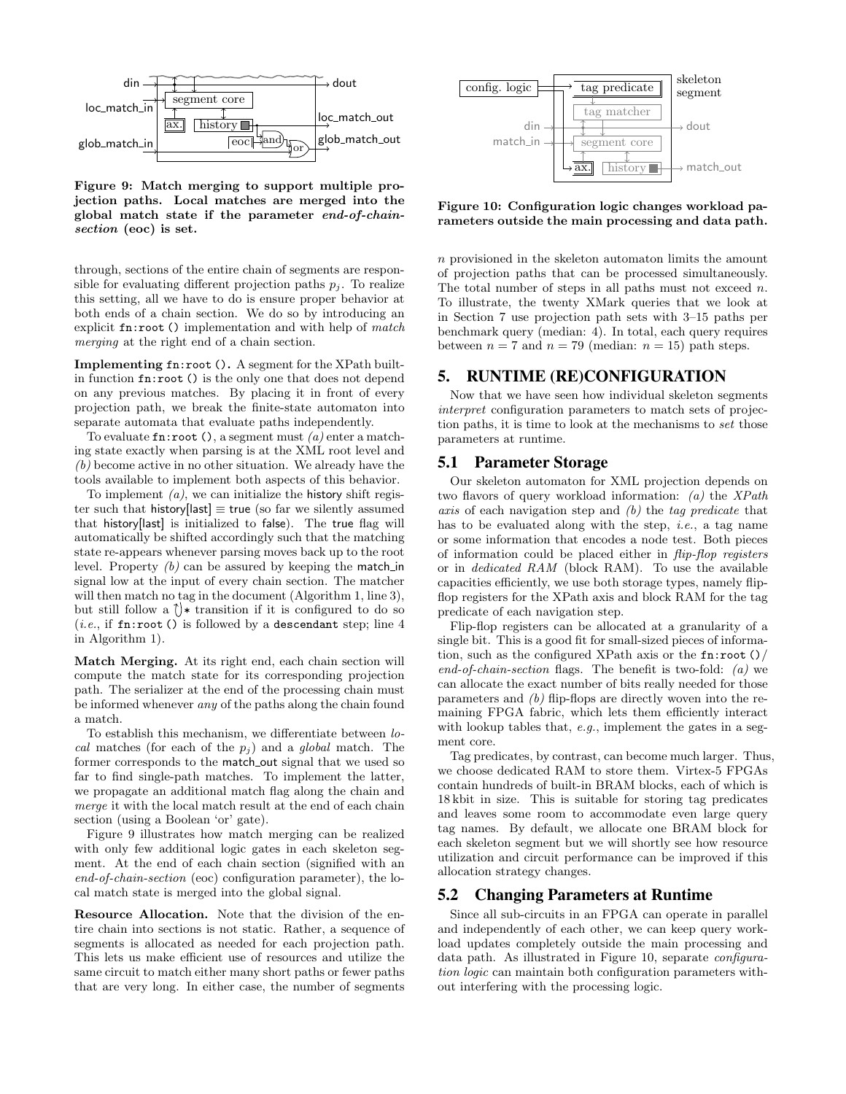![](_page_6_Figure_0.jpeg)

Figure 9: Match merging to support multiple projection paths. Local matches are merged into the global match state if the parameter end-of-chainsection (eoc) is set.

through, sections of the entire chain of segments are responsible for evaluating different projection paths  $p_i$ . To realize this setting, all we have to do is ensure proper behavior at both ends of a chain section. We do so by introducing an explicit fn:root () implementation and with help of match merging at the right end of a chain section.

Implementing fn:root (). A segment for the XPath builtin function fn:root () is the only one that does not depend on any previous matches. By placing it in front of every projection path, we break the finite-state automaton into separate automata that evaluate paths independently.

To evaluate  $\texttt{fn:root}$  (), a segment must (a) enter a matching state exactly when parsing is at the XML root level and (b) become active in no other situation. We already have the tools available to implement both aspects of this behavior.

To implement  $(a)$ , we can initialize the history shift register such that history[last]  $\equiv$  true (so far we silently assumed that history[last] is initialized to false). The true flag will automatically be shifted accordingly such that the matching state re-appears whenever parsing moves back up to the root level. Property  $(b)$  can be assured by keeping the match in signal low at the input of every chain section. The matcher will then match no tag in the document (Algorithm 1, line 3), but still follow a  $\mathcal{L}$  transition if it is configured to do so (*i.e.*, if  $fn:root$  () is followed by a descendant step; line 4 in Algorithm 1).

Match Merging. At its right end, each chain section will compute the match state for its corresponding projection path. The serializer at the end of the processing chain must be informed whenever any of the paths along the chain found a match.

To establish this mechanism, we differentiate between local matches (for each of the  $p_i$ ) and a global match. The former corresponds to the match\_out signal that we used so far to find single-path matches. To implement the latter, we propagate an additional match flag along the chain and merge it with the local match result at the end of each chain section (using a Boolean 'or' gate).

Figure 9 illustrates how match merging can be realized with only few additional logic gates in each skeleton segment. At the end of each chain section (signified with an end-of-chain-section (eoc) configuration parameter), the local match state is merged into the global signal.

Resource Allocation. Note that the division of the entire chain into sections is not static. Rather, a sequence of segments is allocated as needed for each projection path. This lets us make efficient use of resources and utilize the same circuit to match either many short paths or fewer paths that are very long. In either case, the number of segments

![](_page_6_Figure_10.jpeg)

Figure 10: Configuration logic changes workload parameters outside the main processing and data path.

n provisioned in the skeleton automaton limits the amount of projection paths that can be processed simultaneously. The total number of steps in all paths must not exceed  $n$ . To illustrate, the twenty XMark queries that we look at in Section 7 use projection path sets with 3–15 paths per benchmark query (median: 4). In total, each query requires between  $n = 7$  and  $n = 79$  (median:  $n = 15$ ) path steps.

# 5. RUNTIME (RE)CONFIGURATION

Now that we have seen how individual skeleton segments interpret configuration parameters to match sets of projection paths, it is time to look at the mechanisms to set those parameters at runtime.

# 5.1 Parameter Storage

Our skeleton automaton for XML projection depends on two flavors of query workload information: (a) the XPath axis of each navigation step and (b) the tag predicate that has to be evaluated along with the step, *i.e.*, a tag name or some information that encodes a node test. Both pieces of information could be placed either in flip-flop registers or in dedicated RAM (block RAM). To use the available capacities efficiently, we use both storage types, namely flipflop registers for the XPath axis and block RAM for the tag predicate of each navigation step.

Flip-flop registers can be allocated at a granularity of a single bit. This is a good fit for small-sized pieces of information, such as the configured XPath axis or the  $fn:root()$ end-of-chain-section flags. The benefit is two-fold: (a) we can allocate the exact number of bits really needed for those parameters and (b) flip-flops are directly woven into the remaining FPGA fabric, which lets them efficiently interact with lookup tables that,  $e.g.,$  implement the gates in a segment core.

Tag predicates, by contrast, can become much larger. Thus, we choose dedicated RAM to store them. Virtex-5 FPGAs contain hundreds of built-in BRAM blocks, each of which is 18 kbit in size. This is suitable for storing tag predicates and leaves some room to accommodate even large query tag names. By default, we allocate one BRAM block for each skeleton segment but we will shortly see how resource utilization and circuit performance can be improved if this allocation strategy changes.

## 5.2 Changing Parameters at Runtime

Since all sub-circuits in an FPGA can operate in parallel and independently of each other, we can keep query workload updates completely outside the main processing and data path. As illustrated in Figure 10, separate configuration logic can maintain both configuration parameters without interfering with the processing logic.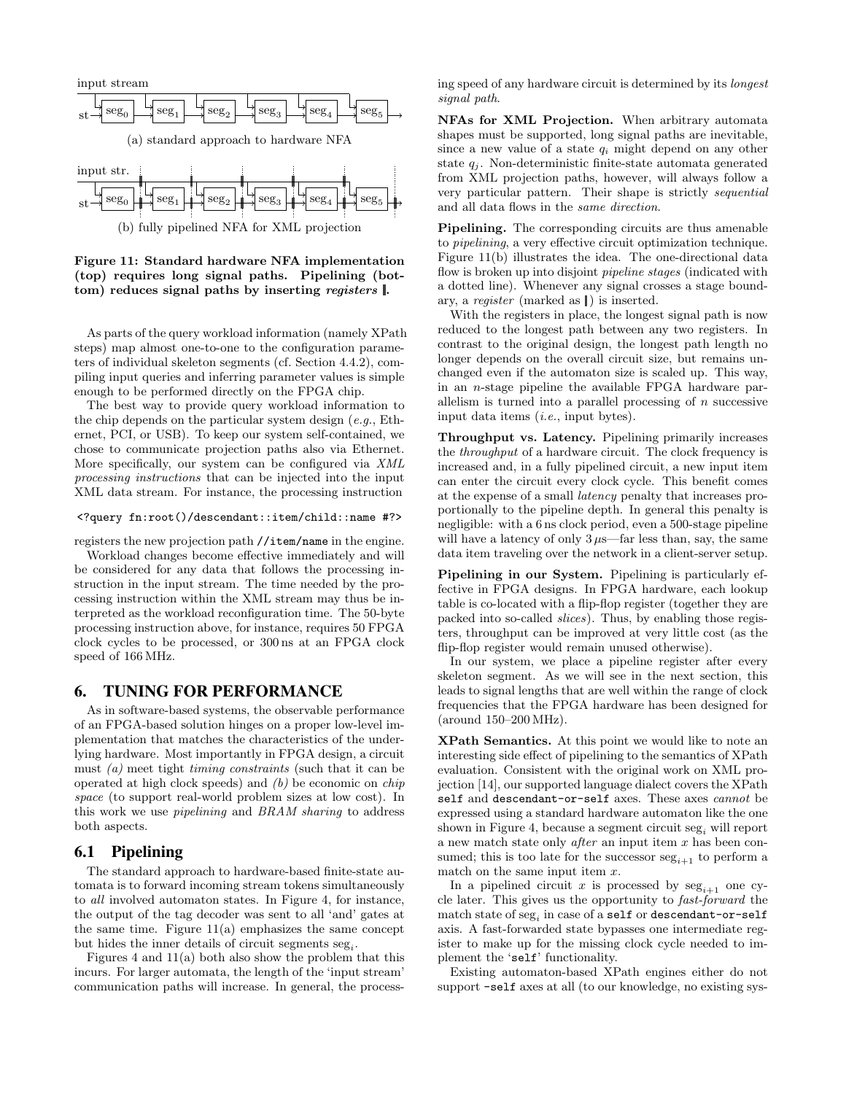![](_page_7_Figure_0.jpeg)

(b) fully pipelined NFA for XML projection

#### Figure 11: Standard hardware NFA implementation (top) requires long signal paths. Pipelining (bottom) reduces signal paths by inserting registers  $\|$ .

As parts of the query workload information (namely XPath steps) map almost one-to-one to the configuration parameters of individual skeleton segments (cf. Section 4.4.2), compiling input queries and inferring parameter values is simple enough to be performed directly on the FPGA chip.

The best way to provide query workload information to the chip depends on the particular system design  $(e.g., Eth$ ernet, PCI, or USB). To keep our system self-contained, we chose to communicate projection paths also via Ethernet. More specifically, our system can be configured via XML processing instructions that can be injected into the input XML data stream. For instance, the processing instruction

#### <?query fn:root()/descendant::item/child::name #?>

registers the new projection path //item/name in the engine. Workload changes become effective immediately and will

be considered for any data that follows the processing instruction in the input stream. The time needed by the processing instruction within the XML stream may thus be interpreted as the workload reconfiguration time. The 50-byte processing instruction above, for instance, requires 50 FPGA clock cycles to be processed, or 300 ns at an FPGA clock speed of 166 MHz.

## 6. TUNING FOR PERFORMANCE

As in software-based systems, the observable performance of an FPGA-based solution hinges on a proper low-level implementation that matches the characteristics of the underlying hardware. Most importantly in FPGA design, a circuit must (a) meet tight timing constraints (such that it can be operated at high clock speeds) and  $(b)$  be economic on *chip* space (to support real-world problem sizes at low cost). In this work we use pipelining and BRAM sharing to address both aspects.

# 6.1 Pipelining

The standard approach to hardware-based finite-state automata is to forward incoming stream tokens simultaneously to all involved automaton states. In Figure 4, for instance, the output of the tag decoder was sent to all 'and' gates at the same time. Figure  $11(a)$  emphasizes the same concept but hides the inner details of circuit segments  $seg_i$ .

Figures 4 and  $11(a)$  both also show the problem that this incurs. For larger automata, the length of the 'input stream' communication paths will increase. In general, the processing speed of any hardware circuit is determined by its longest signal path.

NFAs for XML Projection. When arbitrary automata shapes must be supported, long signal paths are inevitable, since a new value of a state  $q_i$  might depend on any other state  $q_i$ . Non-deterministic finite-state automata generated from XML projection paths, however, will always follow a very particular pattern. Their shape is strictly sequential and all data flows in the same direction.

Pipelining. The corresponding circuits are thus amenable to pipelining, a very effective circuit optimization technique. Figure 11(b) illustrates the idea. The one-directional data flow is broken up into disjoint *pipeline stages* (indicated with a dotted line). Whenever any signal crosses a stage boundary, a register (marked as  $\mathbb{I}$ ) is inserted.

With the registers in place, the longest signal path is now reduced to the longest path between any two registers. In contrast to the original design, the longest path length no longer depends on the overall circuit size, but remains unchanged even if the automaton size is scaled up. This way, in an n-stage pipeline the available FPGA hardware parallelism is turned into a parallel processing of  $n$  successive input data items (i.e., input bytes).

Throughput vs. Latency. Pipelining primarily increases the throughput of a hardware circuit. The clock frequency is increased and, in a fully pipelined circuit, a new input item can enter the circuit every clock cycle. This benefit comes at the expense of a small latency penalty that increases proportionally to the pipeline depth. In general this penalty is negligible: with a 6 ns clock period, even a 500-stage pipeline will have a latency of only  $3 \mu s$ —far less than, say, the same data item traveling over the network in a client-server setup.

Pipelining in our System. Pipelining is particularly effective in FPGA designs. In FPGA hardware, each lookup table is co-located with a flip-flop register (together they are packed into so-called slices). Thus, by enabling those registers, throughput can be improved at very little cost (as the flip-flop register would remain unused otherwise).

In our system, we place a pipeline register after every skeleton segment. As we will see in the next section, this leads to signal lengths that are well within the range of clock frequencies that the FPGA hardware has been designed for (around 150–200 MHz).

XPath Semantics. At this point we would like to note an interesting side effect of pipelining to the semantics of XPath evaluation. Consistent with the original work on XML projection [14], our supported language dialect covers the XPath self and descendant-or-self axes. These axes *cannot* be expressed using a standard hardware automaton like the one shown in Figure 4, because a segment circuit  $\text{seg}_i$  will report a new match state only *after* an input item  $x$  has been consumed; this is too late for the successor  $\text{seg}_{i+1}$  to perform a match on the same input item  $x$ .

In a pipelined circuit x is processed by  $\text{seg}_{i+1}$  one cycle later. This gives us the opportunity to fast-forward the  $\operatorname{match}$  state of  $\operatorname{seg}_i$  in case of a  $\operatorname{\textbf{self}}$  or  $\operatorname{\textbf{descendant}-or\textbf{-self}$ axis. A fast-forwarded state bypasses one intermediate register to make up for the missing clock cycle needed to implement the 'self' functionality.

Existing automaton-based XPath engines either do not support -self axes at all (to our knowledge, no existing sys-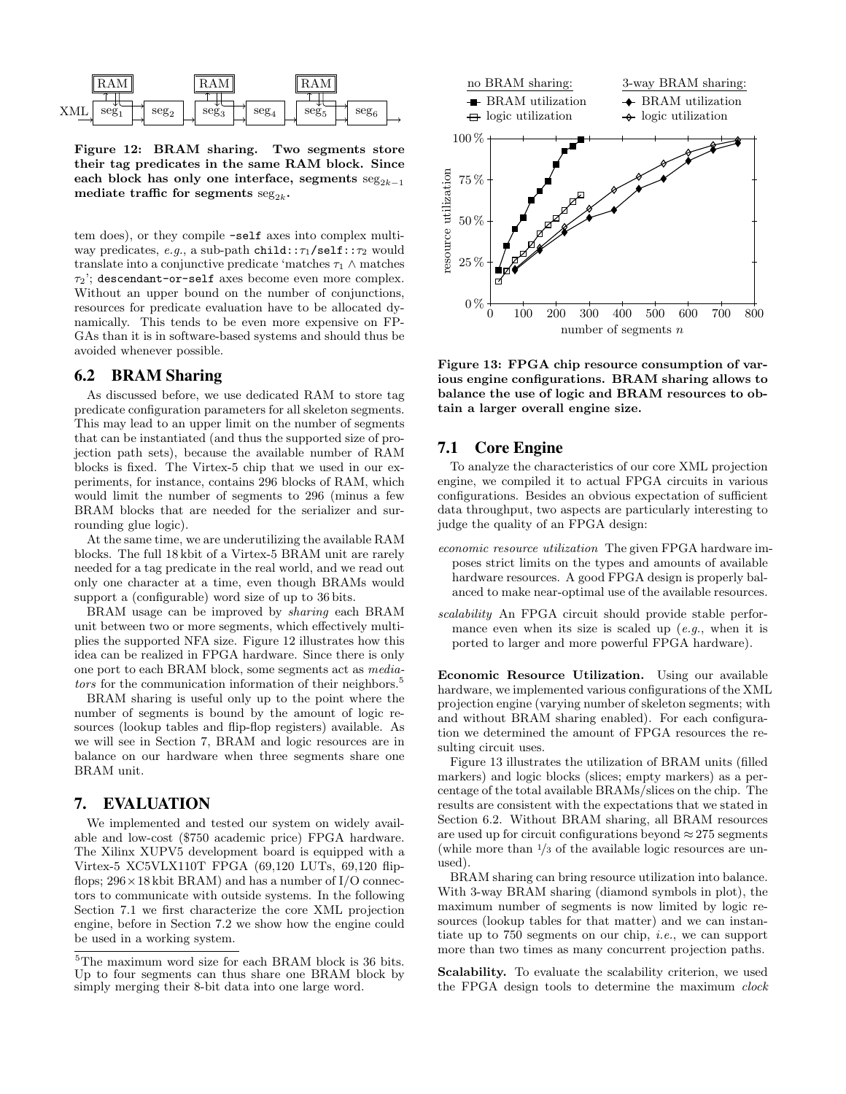![](_page_8_Figure_0.jpeg)

Figure 12: BRAM sharing. Two segments store their tag predicates in the same RAM block. Since each block has only one interface, segments  $seg_{2k-1}$ mediate traffic for segments  $\mathrm{seg}_{2k}.$ 

tem does), or they compile -self axes into complex multiway predicates, e.g., a sub-path child:: $\tau_1$ /self:: $\tau_2$  would translate into a conjunctive predicate 'matches  $\tau_1 \wedge$  matches  $\tau_2$ '; descendant-or-self axes become even more complex. Without an upper bound on the number of conjunctions, resources for predicate evaluation have to be allocated dynamically. This tends to be even more expensive on FP-GAs than it is in software-based systems and should thus be avoided whenever possible.

#### 6.2 BRAM Sharing

As discussed before, we use dedicated RAM to store tag predicate configuration parameters for all skeleton segments. This may lead to an upper limit on the number of segments that can be instantiated (and thus the supported size of projection path sets), because the available number of RAM blocks is fixed. The Virtex-5 chip that we used in our experiments, for instance, contains 296 blocks of RAM, which would limit the number of segments to 296 (minus a few BRAM blocks that are needed for the serializer and surrounding glue logic).

At the same time, we are underutilizing the available RAM blocks. The full 18 kbit of a Virtex-5 BRAM unit are rarely needed for a tag predicate in the real world, and we read out only one character at a time, even though BRAMs would support a (configurable) word size of up to 36 bits.

BRAM usage can be improved by sharing each BRAM unit between two or more segments, which effectively multiplies the supported NFA size. Figure 12 illustrates how this idea can be realized in FPGA hardware. Since there is only one port to each BRAM block, some segments act as mediators for the communication information of their neighbors.<sup>5</sup>

BRAM sharing is useful only up to the point where the number of segments is bound by the amount of logic resources (lookup tables and flip-flop registers) available. As we will see in Section 7, BRAM and logic resources are in balance on our hardware when three segments share one BRAM unit.

## 7. EVALUATION

We implemented and tested our system on widely available and low-cost (\$750 academic price) FPGA hardware. The Xilinx XUPV5 development board is equipped with a Virtex-5 XC5VLX110T FPGA (69,120 LUTs, 69,120 flipflops;  $296 \times 18$  kbit BRAM) and has a number of I/O connectors to communicate with outside systems. In the following Section 7.1 we first characterize the core XML projection engine, before in Section 7.2 we show how the engine could be used in a working system.

![](_page_8_Figure_11.jpeg)

Figure 13: FPGA chip resource consumption of various engine configurations. BRAM sharing allows to balance the use of logic and BRAM resources to obtain a larger overall engine size.

# 7.1 Core Engine

To analyze the characteristics of our core XML projection engine, we compiled it to actual FPGA circuits in various configurations. Besides an obvious expectation of sufficient data throughput, two aspects are particularly interesting to judge the quality of an FPGA design:

- economic resource utilization The given FPGA hardware imposes strict limits on the types and amounts of available hardware resources. A good FPGA design is properly balanced to make near-optimal use of the available resources.
- scalability An FPGA circuit should provide stable performance even when its size is scaled up  $(e.g.,$  when it is ported to larger and more powerful FPGA hardware).

Economic Resource Utilization. Using our available hardware, we implemented various configurations of the XML projection engine (varying number of skeleton segments; with and without BRAM sharing enabled). For each configuration we determined the amount of FPGA resources the resulting circuit uses.

Figure 13 illustrates the utilization of BRAM units (filled markers) and logic blocks (slices; empty markers) as a percentage of the total available BRAMs/slices on the chip. The results are consistent with the expectations that we stated in Section 6.2. Without BRAM sharing, all BRAM resources are used up for circuit configurations beyond  $\approx$  275 segments (while more than  $\frac{1}{3}$  of the available logic resources are unused).

BRAM sharing can bring resource utilization into balance. With 3-way BRAM sharing (diamond symbols in plot), the maximum number of segments is now limited by logic resources (lookup tables for that matter) and we can instantiate up to 750 segments on our chip, i.e., we can support more than two times as many concurrent projection paths.

Scalability. To evaluate the scalability criterion, we used the FPGA design tools to determine the maximum clock

 $^5 \rm{The}$  maximum word size for each BRAM block is 36 bits. Up to four segments can thus share one BRAM block by simply merging their 8-bit data into one large word.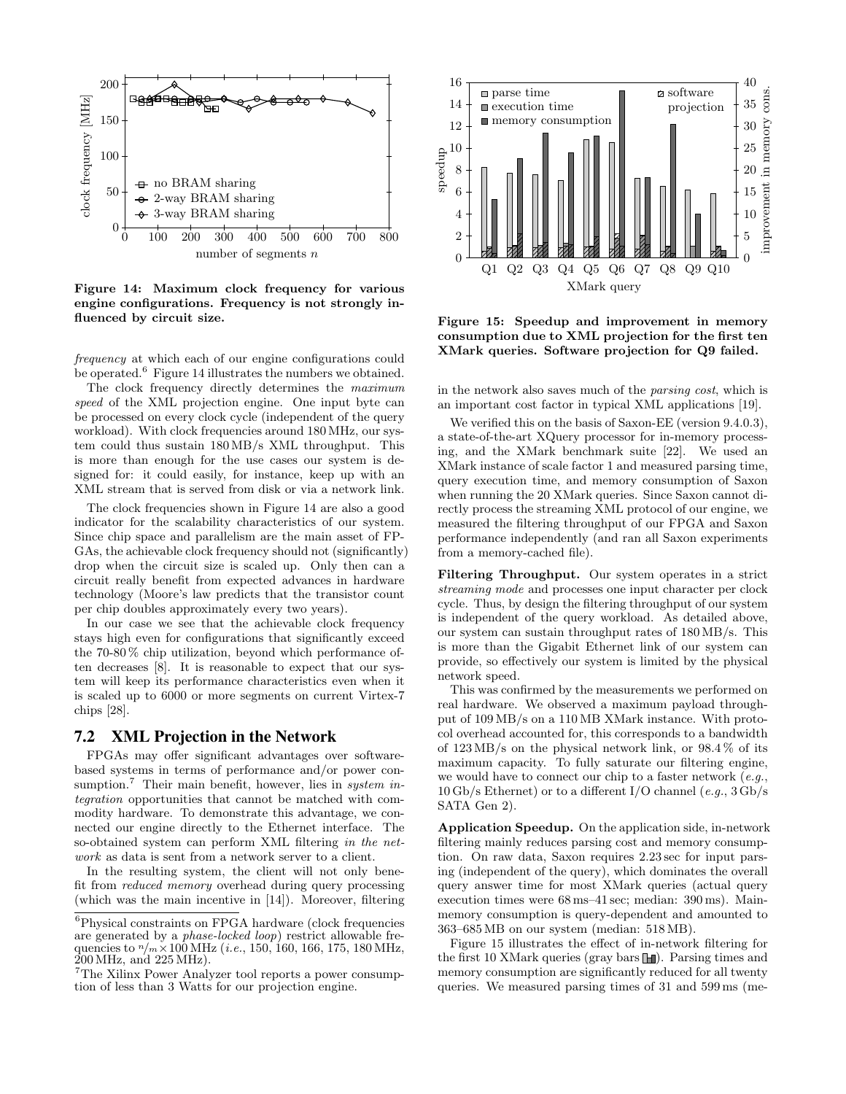![](_page_9_Figure_0.jpeg)

Figure 14: Maximum clock frequency for various engine configurations. Frequency is not strongly influenced by circuit size.

frequency at which each of our engine configurations could be operated.<sup>6</sup> Figure 14 illustrates the numbers we obtained.

The clock frequency directly determines the maximum speed of the XML projection engine. One input byte can be processed on every clock cycle (independent of the query workload). With clock frequencies around 180 MHz, our system could thus sustain 180 MB/s XML throughput. This is more than enough for the use cases our system is designed for: it could easily, for instance, keep up with an XML stream that is served from disk or via a network link.

The clock frequencies shown in Figure 14 are also a good indicator for the scalability characteristics of our system. Since chip space and parallelism are the main asset of FP-GAs, the achievable clock frequency should not (significantly) drop when the circuit size is scaled up. Only then can a circuit really benefit from expected advances in hardware technology (Moore's law predicts that the transistor count per chip doubles approximately every two years).

In our case we see that the achievable clock frequency stays high even for configurations that significantly exceed the 70-80 % chip utilization, beyond which performance often decreases [8]. It is reasonable to expect that our system will keep its performance characteristics even when it is scaled up to 6000 or more segments on current Virtex-7 chips [28].

## 7.2 XML Projection in the Network

FPGAs may offer significant advantages over softwarebased systems in terms of performance and/or power consumption.<sup>7</sup> Their main benefit, however, lies in *system in*tegration opportunities that cannot be matched with commodity hardware. To demonstrate this advantage, we connected our engine directly to the Ethernet interface. The so-obtained system can perform XML filtering in the network as data is sent from a network server to a client.

In the resulting system, the client will not only benefit from reduced memory overhead during query processing (which was the main incentive in [14]). Moreover, filtering

![](_page_9_Figure_11.jpeg)

Figure 15: Speedup and improvement in memory consumption due to XML projection for the first ten XMark queries. Software projection for Q9 failed.

in the network also saves much of the parsing cost, which is an important cost factor in typical XML applications [19].

We verified this on the basis of Saxon-EE (version 9.4.0.3), a state-of-the-art XQuery processor for in-memory processing, and the XMark benchmark suite [22]. We used an XMark instance of scale factor 1 and measured parsing time, query execution time, and memory consumption of Saxon when running the 20 XMark queries. Since Saxon cannot directly process the streaming XML protocol of our engine, we measured the filtering throughput of our FPGA and Saxon performance independently (and ran all Saxon experiments from a memory-cached file).

Filtering Throughput. Our system operates in a strict streaming mode and processes one input character per clock cycle. Thus, by design the filtering throughput of our system is independent of the query workload. As detailed above, our system can sustain throughput rates of 180 MB/s. This is more than the Gigabit Ethernet link of our system can provide, so effectively our system is limited by the physical network speed.

This was confirmed by the measurements we performed on real hardware. We observed a maximum payload throughput of 109 MB/s on a 110 MB XMark instance. With protocol overhead accounted for, this corresponds to a bandwidth of 123 MB/s on the physical network link, or 98.4 % of its maximum capacity. To fully saturate our filtering engine, we would have to connect our chip to a faster network (e.g.,  $10 \text{Gb/s}$  Ethernet) or to a different I/O channel (e.g.,  $3 \text{Gb/s}$ ) SATA Gen 2).

Application Speedup. On the application side, in-network filtering mainly reduces parsing cost and memory consumption. On raw data, Saxon requires 2.23 sec for input parsing (independent of the query), which dominates the overall query answer time for most XMark queries (actual query execution times were 68 ms–41 sec; median: 390 ms). Mainmemory consumption is query-dependent and amounted to 363–685 MB on our system (median: 518 MB).

Figure 15 illustrates the effect of in-network filtering for the first 10 XMark queries (gray bars  $\Box$ ). Parsing times and memory consumption are significantly reduced for all twenty queries. We measured parsing times of 31 and 599 ms (me-

<sup>6</sup>Physical constraints on FPGA hardware (clock frequencies are generated by a phase-locked loop) restrict allowable frequencies to  $n/m \times 100 \text{ MHz}$  (i.e., 150, 160, 166, 175, 180 MHz, 200 MHz, and 225 MHz).

<sup>7</sup>The Xilinx Power Analyzer tool reports a power consumption of less than 3 Watts for our projection engine.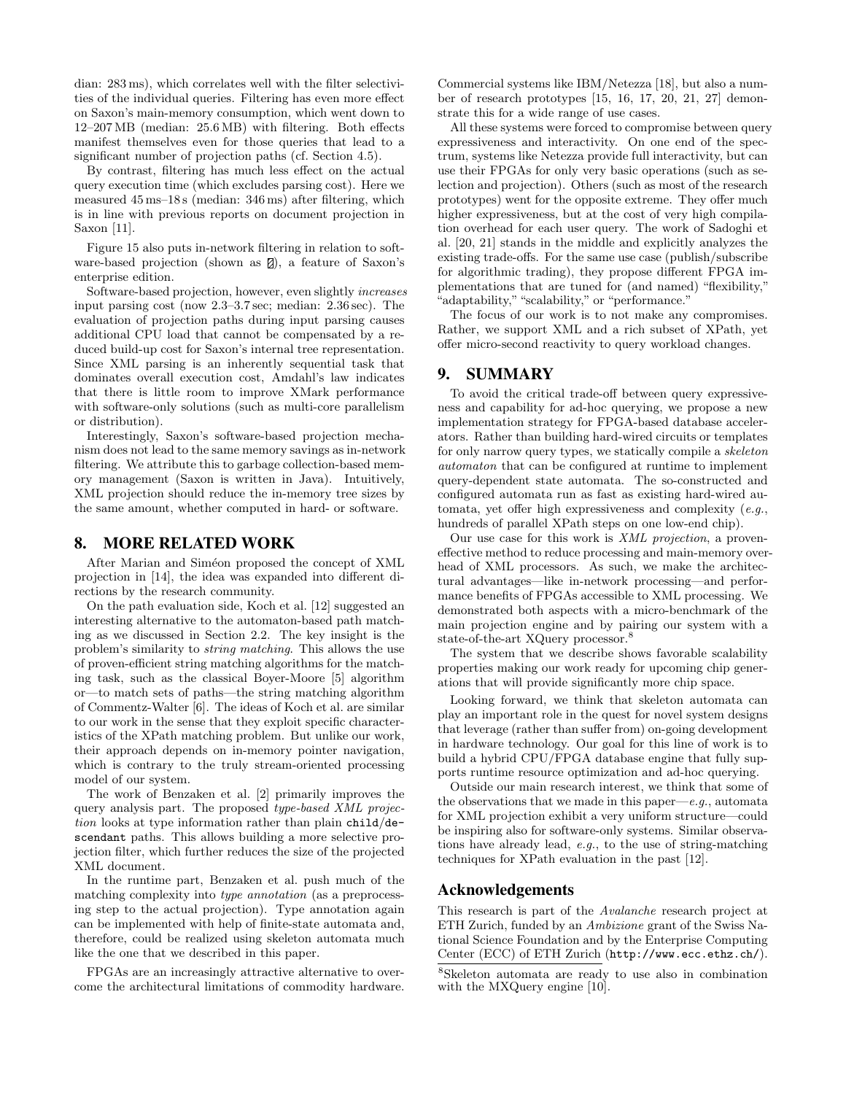dian: 283 ms), which correlates well with the filter selectivities of the individual queries. Filtering has even more effect on Saxon's main-memory consumption, which went down to 12–207 MB (median: 25.6 MB) with filtering. Both effects manifest themselves even for those queries that lead to a significant number of projection paths (cf. Section 4.5).

By contrast, filtering has much less effect on the actual query execution time (which excludes parsing cost). Here we measured 45 ms–18 s (median: 346 ms) after filtering, which is in line with previous reports on document projection in Saxon [11].

Figure 15 also puts in-network filtering in relation to software-based projection (shown as  $\emptyset$ ), a feature of Saxon's enterprise edition.

Software-based projection, however, even slightly increases input parsing cost (now 2.3–3.7 sec; median: 2.36 sec). The evaluation of projection paths during input parsing causes additional CPU load that cannot be compensated by a reduced build-up cost for Saxon's internal tree representation. Since XML parsing is an inherently sequential task that dominates overall execution cost, Amdahl's law indicates that there is little room to improve XMark performance with software-only solutions (such as multi-core parallelism or distribution).

Interestingly, Saxon's software-based projection mechanism does not lead to the same memory savings as in-network filtering. We attribute this to garbage collection-based memory management (Saxon is written in Java). Intuitively, XML projection should reduce the in-memory tree sizes by the same amount, whether computed in hard- or software.

## 8. MORE RELATED WORK

After Marian and Siméon proposed the concept of XML projection in [14], the idea was expanded into different directions by the research community.

On the path evaluation side, Koch et al. [12] suggested an interesting alternative to the automaton-based path matching as we discussed in Section 2.2. The key insight is the problem's similarity to string matching. This allows the use of proven-efficient string matching algorithms for the matching task, such as the classical Boyer-Moore [5] algorithm or—to match sets of paths—the string matching algorithm of Commentz-Walter [6]. The ideas of Koch et al. are similar to our work in the sense that they exploit specific characteristics of the XPath matching problem. But unlike our work, their approach depends on in-memory pointer navigation, which is contrary to the truly stream-oriented processing model of our system.

The work of Benzaken et al. [2] primarily improves the query analysis part. The proposed type-based XML projection looks at type information rather than plain child/descendant paths. This allows building a more selective projection filter, which further reduces the size of the projected XML document.

In the runtime part, Benzaken et al. push much of the matching complexity into type annotation (as a preprocessing step to the actual projection). Type annotation again can be implemented with help of finite-state automata and, therefore, could be realized using skeleton automata much like the one that we described in this paper.

FPGAs are an increasingly attractive alternative to overcome the architectural limitations of commodity hardware.

Commercial systems like IBM/Netezza [18], but also a number of research prototypes [15, 16, 17, 20, 21, 27] demonstrate this for a wide range of use cases.

All these systems were forced to compromise between query expressiveness and interactivity. On one end of the spectrum, systems like Netezza provide full interactivity, but can use their FPGAs for only very basic operations (such as selection and projection). Others (such as most of the research prototypes) went for the opposite extreme. They offer much higher expressiveness, but at the cost of very high compilation overhead for each user query. The work of Sadoghi et al. [20, 21] stands in the middle and explicitly analyzes the existing trade-offs. For the same use case (publish/subscribe for algorithmic trading), they propose different FPGA implementations that are tuned for (and named) "flexibility," "adaptability,""scalability," or "performance."

The focus of our work is to not make any compromises. Rather, we support XML and a rich subset of XPath, yet offer micro-second reactivity to query workload changes.

# 9. SUMMARY

To avoid the critical trade-off between query expressiveness and capability for ad-hoc querying, we propose a new implementation strategy for FPGA-based database accelerators. Rather than building hard-wired circuits or templates for only narrow query types, we statically compile a skeleton automaton that can be configured at runtime to implement query-dependent state automata. The so-constructed and configured automata run as fast as existing hard-wired automata, yet offer high expressiveness and complexity (e.g., hundreds of parallel XPath steps on one low-end chip).

Our use case for this work is XML projection, a proveneffective method to reduce processing and main-memory overhead of XML processors. As such, we make the architectural advantages—like in-network processing—and performance benefits of FPGAs accessible to XML processing. We demonstrated both aspects with a micro-benchmark of the main projection engine and by pairing our system with a state-of-the-art XQuery processor.<sup>8</sup>

The system that we describe shows favorable scalability properties making our work ready for upcoming chip generations that will provide significantly more chip space.

Looking forward, we think that skeleton automata can play an important role in the quest for novel system designs that leverage (rather than suffer from) on-going development in hardware technology. Our goal for this line of work is to build a hybrid CPU/FPGA database engine that fully supports runtime resource optimization and ad-hoc querying.

Outside our main research interest, we think that some of the observations that we made in this paper—e.g., automata for XML projection exhibit a very uniform structure—could be inspiring also for software-only systems. Similar observations have already lead, e.g., to the use of string-matching techniques for XPath evaluation in the past [12].

# Acknowledgements

This research is part of the Avalanche research project at ETH Zurich, funded by an Ambizione grant of the Swiss National Science Foundation and by the Enterprise Computing Center (ECC) of ETH Zurich (http://www.ecc.ethz.ch/).

<sup>8</sup>Skeleton automata are ready to use also in combination with the MXQuery engine [10].